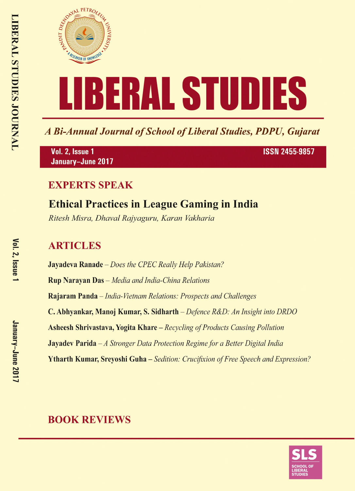

A Bi-Annual Journal of School of Liberal Studies, PDPU, Gujarat

Vol. 2, Issue 1 January-June 2017 **ISSN 2455-9857** 

# **EXPERTS SPEAK**

# **Ethical Practices in League Gaming in India**

Ritesh Misra, Dhaval Rajyaguru, Karan Vakharia

# **ARTICLES**

**Jayadeva Ranade** – Does the CPEC Really Help Pakistan? **Rup Narayan Das** - Media and India-China Relations Rajaram Panda - India-Vietnam Relations: Prospects and Challenges C. Abhyankar, Manoj Kumar, S. Sidharth – Defence R&D: An Insight into DRDO **Asheesh Shrivastava, Yogita Khare** – Recycling of Products Causing Pollution **Jayadev Parida**  $-A$  Stronger Data Protection Regime for a Better Digital India **Ytharth Kumar, Srevoshi Guha** – Sedition: Crucifixion of Free Speech and Expression?

# **BOOK REVIEWS**

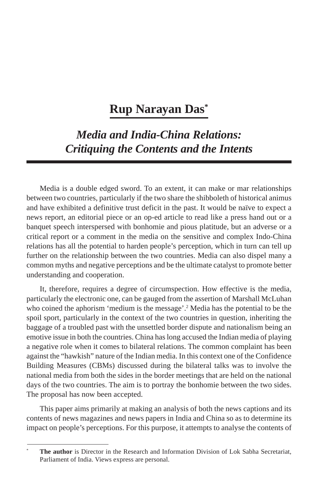# **Rup Narayan Das\***

# *Media and India-China Relations: Critiquing the Contents and the Intents*

Media is a double edged sword. To an extent, it can make or mar relationships between two countries, particularly if the two share the shibboleth of historical animus and have exhibited a definitive trust deficit in the past. It would be naïve to expect a news report, an editorial piece or an op-ed article to read like a press hand out or a banquet speech interspersed with bonhomie and pious platitude, but an adverse or a critical report or a comment in the media on the sensitive and complex Indo-China relations has all the potential to harden people's perception, which in turn can tell up further on the relationship between the two countries. Media can also dispel many a common myths and negative perceptions and be the ultimate catalyst to promote better understanding and cooperation.

It, therefore, requires a degree of circumspection. How effective is the media, particularly the electronic one, can be gauged from the assertion of Marshall McLuhan who coined the aphorism 'medium is the message'.<sup>2</sup> Media has the potential to be the spoil sport, particularly in the context of the two countries in question, inheriting the baggage of a troubled past with the unsettled border dispute and nationalism being an emotive issue in both the countries. China has long accused the Indian media of playing a negative role when it comes to bilateral relations. The common complaint has been against the "hawkish" nature of the Indian media. In this context one of the Confidence Building Measures (CBMs) discussed during the bilateral talks was to involve the national media from both the sides in the border meetings that are held on the national days of the two countries. The aim is to portray the bonhomie between the two sides. The proposal has now been accepted.

This paper aims primarily at making an analysis of both the news captions and its contents of news magazines and news papers in India and China so as to determine its impact on people's perceptions. For this purpose, it attempts to analyse the contents of

**The author** is Director in the Research and Information Division of Lok Sabha Secretariat, Parliament of India. Views express are personal.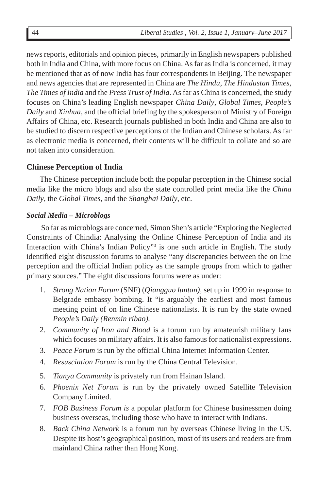news reports, editorials and opinion pieces, primarily in English newspapers published both in India and China, with more focus on China. As far as India is concerned, it may be mentioned that as of now India has four correspondents in Beijing. The newspaper and news agencies that are represented in China are *The Hindu*, *The Hindustan Times*, *The Times of India* and the *Press Trust of India*. As far as China is concerned, the study focuses on China's leading English newspaper *China Daily*, *Global Times*, *People's Daily* and *Xinhua,* and the official briefing by the spokesperson of Ministry of Foreign Affairs of China, etc. Research journals published in both India and China are also to be studied to discern respective perceptions of the Indian and Chinese scholars. As far as electronic media is concerned, their contents will be difficult to collate and so are not taken into consideration.

# **Chinese Perception of India**

The Chinese perception include both the popular perception in the Chinese social media like the micro blogs and also the state controlled print media like the *China Daily*, the *Global Times,* and the *Shanghai Daily*, etc.

# *Social Media – Microblogs*

 So far as microblogs are concerned, Simon Shen's article "Exploring the Neglected Constraints of Chindia: Analysing the Online Chinese Perception of India and its Interaction with China's Indian Policy"3 is one such article in English. The study identified eight discussion forums to analyse "any discrepancies between the on line perception and the official Indian policy as the sample groups from which to gather primary sources." The eight discussions forums were as under:

- 1. *Strong Nation Forum* (SNF) (*Qiangguo luntan),* set up in 1999 in response to Belgrade embassy bombing. It "is arguably the earliest and most famous meeting point of on line Chinese nationalists. It is run by the state owned *People's Daily (Renmin ribao).*
- 2. *Community of Iron and Blood* is a forum run by amateurish military fans which focuses on military affairs. It is also famous for nationalist expressions.
- 3. *Peace Forum* is run by the official China Internet Information Center.
- 4. *Resusciation Forum* is run by the China Central Television.
- 5. *Tianya Community* is privately run from Hainan Island.
- 6. *Phoenix Net Forum* is run by the privately owned Satellite Television Company Limited.
- 7. *FOB Business Forum is* a popular platform for Chinese businessmen doing business overseas, including those who have to interact with Indians.
- 8. *Back China Network* is a forum run by overseas Chinese living in the US. Despite its host's geographical position, most of its users and readers are from mainland China rather than Hong Kong.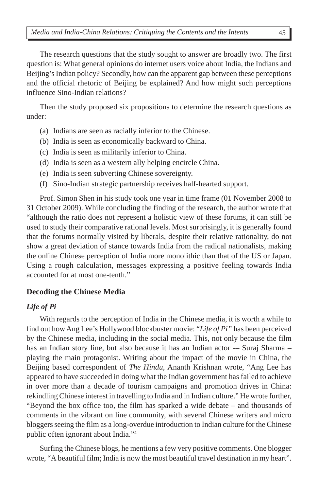The research questions that the study sought to answer are broadly two. The first question is: What general opinions do internet users voice about India, the Indians and Beijing's Indian policy? Secondly, how can the apparent gap between these perceptions and the official rhetoric of Beijing be explained? And how might such perceptions influence Sino-Indian relations?

Then the study proposed six propositions to determine the research questions as under:

- (a) Indians are seen as racially inferior to the Chinese.
- (b) India is seen as economically backward to China.
- (c) India is seen as militarily inferior to China.
- (d) India is seen as a western ally helping encircle China.
- (e) India is seen subverting Chinese sovereignty.
- (f) Sino-Indian strategic partnership receives half-hearted support.

Prof. Simon Shen in his study took one year in time frame (01 November 2008 to 31 October 2009). While concluding the finding of the research, the author wrote that "although the ratio does not represent a holistic view of these forums, it can still be used to study their comparative rational levels. Most surprisingly, it is generally found that the forums normally visited by liberals, despite their relative rationality, do not show a great deviation of stance towards India from the radical nationalists, making the online Chinese perception of India more monolithic than that of the US or Japan. Using a rough calculation, messages expressing a positive feeling towards India accounted for at most one-tenth."

### **Decoding the Chinese Media**

### *Life of Pi*

With regards to the perception of India in the Chinese media, it is worth a while to find out how Ang Lee's Hollywood blockbuster movie: "*Life of Pi"* has been perceived by the Chinese media, including in the social media. This, not only because the film has an Indian story line, but also because it has an Indian actor -- Suraj Sharma playing the main protagonist. Writing about the impact of the movie in China, the Beijing based correspondent of *The Hindu,* Ananth Krishnan wrote, "Ang Lee has appeared to have succeeded in doing what the Indian government has failed to achieve in over more than a decade of tourism campaigns and promotion drives in China: rekindling Chinese interest in travelling to India and in Indian culture." He wrote further, "Beyond the box office too, the film has sparked a wide debate – and thousands of comments in the vibrant on line community, with several Chinese writers and micro bloggers seeing the film as a long-overdue introduction to Indian culture for the Chinese public often ignorant about India."4

Surfing the Chinese blogs, he mentions a few very positive comments. One blogger wrote, "A beautiful film; India is now the most beautiful travel destination in my heart".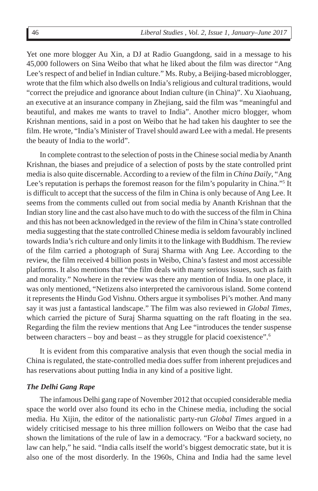Yet one more blogger Au Xin, a DJ at Radio Guangdong, said in a message to his 45,000 followers on Sina Weibo that what he liked about the film was director "Ang Lee's respect of and belief in Indian culture." Ms. Ruby, a Beijing-based microblogger, wrote that the film which also dwells on India's religious and cultural traditions, would "correct the prejudice and ignorance about Indian culture (in China)". Xu Xiaohuang, an executive at an insurance company in Zhejiang, said the film was "meaningful and beautiful, and makes me wants to travel to India". Another micro blogger, whom Krishnan mentions, said in a post on Weibo that he had taken his daughter to see the film. He wrote, "India's Minister of Travel should award Lee with a medal. He presents the beauty of India to the world".

In complete contrast to the selection of posts in the Chinese social media by Ananth Krishnan, the biases and prejudice of a selection of posts by the state controlled print media is also quite discernable. According to a review of the film in *China Daily*, "Ang Lee's reputation is perhaps the foremost reason for the film's popularity in China."<sup>5</sup> It is difficult to accept that the success of the film in China is only because of Ang Lee. It seems from the comments culled out from social media by Ananth Krishnan that the Indian story line and the cast also have much to do with the success of the film in China and this has not been acknowledged in the review of the film in China's state controlled media suggesting that the state controlled Chinese media is seldom favourably inclined towards India's rich culture and only limits it to the linkage with Buddhism. The review of the film carried a photograph of Suraj Sharma with Ang Lee. According to the review, the film received 4 billion posts in Weibo, China's fastest and most accessible platforms. It also mentions that "the film deals with many serious issues, such as faith and morality." Nowhere in the review was there any mention of India. In one place, it was only mentioned, "Netizens also interpreted the carnivorous island. Some contend it represents the Hindu God Vishnu. Others argue it symbolises Pi's mother. And many say it was just a fantastical landscape." The film was also reviewed in *Global Times*, which carried the picture of Suraj Sharma squatting on the raft floating in the sea. Regarding the film the review mentions that Ang Lee "introduces the tender suspense between characters – boy and beast – as they struggle for placid coexistence".<sup>6</sup>

It is evident from this comparative analysis that even though the social media in China is regulated, the state-controlled media does suffer from inherent prejudices and has reservations about putting India in any kind of a positive light.

## *The Delhi Gang Rape*

The infamous Delhi gang rape of November 2012 that occupied considerable media space the world over also found its echo in the Chinese media, including the social media. Hu Xijin, the editor of the nationalistic party-run *Global Times* argued in a widely criticised message to his three million followers on Weibo that the case had shown the limitations of the rule of law in a democracy. "For a backward society, no law can help," he said. "India calls itself the world's biggest democratic state, but it is also one of the most disorderly. In the 1960s, China and India had the same level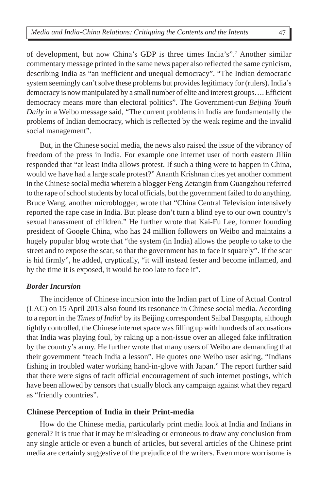of development, but now China's GDP is three times India's".7 Another similar commentary message printed in the same news paper also reflected the same cynicism, describing India as "an inefficient and unequal democracy". "The Indian democratic system seemingly can't solve these problems but provides legitimacy for (rulers). India's democracy is now manipulated by a small number of elite and interest groups…. Efficient democracy means more than electoral politics". The Government-run *Beijing Youth Daily* in a Weibo message said, "The current problems in India are fundamentally the problems of Indian democracy, which is reflected by the weak regime and the invalid social management".

But, in the Chinese social media, the news also raised the issue of the vibrancy of freedom of the press in India. For example one internet user of north eastern Jiliin responded that "at least India allows protest. If such a thing were to happen in China, would we have had a large scale protest?" Ananth Krishnan cites yet another comment in the Chinese social media wherein a blogger Feng Zetangin from Guangzhou referred to the rape of school students by local officials, but the government failed to do anything. Bruce Wang, another microblogger, wrote that "China Central Television intensively reported the rape case in India. But please don't turn a blind eye to our own country's sexual harassment of children." He further wrote that Kai-Fu Lee, former founding president of Google China, who has 24 million followers on Weibo and maintains a hugely popular blog wrote that "the system (in India) allows the people to take to the street and to expose the scar, so that the government has to face it squarely". If the scar is hid firmly", he added, cryptically, "it will instead fester and become inflamed, and by the time it is exposed, it would be too late to face it".

## *Border Incursion*

The incidence of Chinese incursion into the Indian part of Line of Actual Control (LAC) on 15 April 2013 also found its resonance in Chinese social media. According to a report in the *Times of India*<sup>8</sup> by its Beijing correspondent Saibal Dasgupta, although tightly controlled, the Chinese internet space was filling up with hundreds of accusations that India was playing foul, by raking up a non-issue over an alleged fake infiltration by the country's army. He further wrote that many users of Weibo are demanding that their government "teach India a lesson". He quotes one Weibo user asking, "Indians fishing in troubled water working hand-in-glove with Japan." The report further said that there were signs of tacit official encouragement of such internet postings, which have been allowed by censors that usually block any campaign against what they regard as "friendly countries".

## **Chinese Perception of India in their Print-media**

How do the Chinese media, particularly print media look at India and Indians in general? It is true that it may be misleading or erroneous to draw any conclusion from any single article or even a bunch of articles, but several articles of the Chinese print media are certainly suggestive of the prejudice of the writers. Even more worrisome is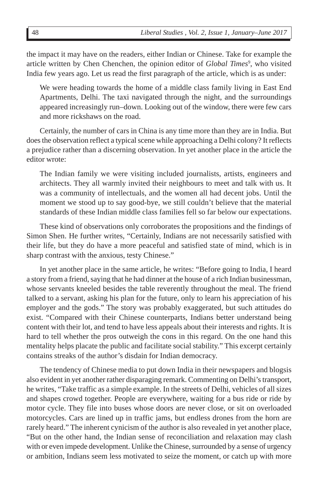the impact it may have on the readers, either Indian or Chinese. Take for example the article written by Chen Chenchen, the opinion editor of *Global Times<sup>9</sup>*, who visited India few years ago. Let us read the first paragraph of the article, which is as under:

We were heading towards the home of a middle class family living in East End Apartments, Delhi. The taxi navigated through the night, and the surroundings appeared increasingly run–down. Looking out of the window, there were few cars and more rickshaws on the road.

Certainly, the number of cars in China is any time more than they are in India. But does the observation reflect a typical scene while approaching a Delhi colony? It reflects a prejudice rather than a discerning observation. In yet another place in the article the editor wrote:

The Indian family we were visiting included journalists, artists, engineers and architects. They all warmly invited their neighbours to meet and talk with us. It was a community of intellectuals, and the women all had decent jobs. Until the moment we stood up to say good-bye, we still couldn't believe that the material standards of these Indian middle class families fell so far below our expectations.

These kind of observations only corroborates the propositions and the findings of Simon Shen. He further writes, "Certainly, Indians are not necessarily satisfied with their life, but they do have a more peaceful and satisfied state of mind, which is in sharp contrast with the anxious, testy Chinese."

In yet another place in the same article, he writes: "Before going to India, I heard a story from a friend, saying that he had dinner at the house of a rich Indian businessman, whose servants kneeled besides the table reverently throughout the meal. The friend talked to a servant, asking his plan for the future, only to learn his appreciation of his employer and the gods." The story was probably exaggerated, but such attitudes do exist. "Compared with their Chinese counterparts, Indians better understand being content with their lot, and tend to have less appeals about their interests and rights. It is hard to tell whether the pros outweigh the cons in this regard. On the one hand this mentality helps placate the public and facilitate social stability." This excerpt certainly contains streaks of the author's disdain for Indian democracy.

The tendency of Chinese media to put down India in their newspapers and blogsis also evident in yet another rather disparaging remark. Commenting on Delhi's transport, he writes, "Take traffic as a simple example. In the streets of Delhi, vehicles of all sizes and shapes crowd together. People are everywhere, waiting for a bus ride or ride by motor cycle. They file into buses whose doors are never close, or sit on overloaded motorcycles. Cars are lined up in traffic jams, but endless drones from the horn are rarely heard." The inherent cynicism of the author is also revealed in yet another place, "But on the other hand, the Indian sense of reconciliation and relaxation may clash with or even impede development. Unlike the Chinese, surrounded by a sense of urgency or ambition, Indians seem less motivated to seize the moment, or catch up with more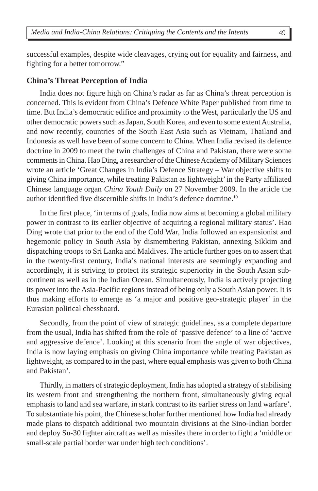successful examples, despite wide cleavages, crying out for equality and fairness, and fighting for a better tomorrow."

### **China's Threat Perception of India**

India does not figure high on China's radar as far as China's threat perception is concerned. This is evident from China's Defence White Paper published from time to time. But India's democratic edifice and proximity to the West, particularly the US and other democratic powers such as Japan, South Korea, and even to some extent Australia, and now recently, countries of the South East Asia such as Vietnam, Thailand and Indonesia as well have been of some concern to China. When India revised its defence doctrine in 2009 to meet the twin challenges of China and Pakistan, there were some comments in China. Hao Ding, a researcher of the Chinese Academy of Military Sciences wrote an article 'Great Changes in India's Defence Strategy – War objective shifts to giving China importance, while treating Pakistan as lightweight' in the Party affiliated Chinese language organ *China Youth Daily* on 27 November 2009. In the article the author identified five discernible shifts in India's defence doctrine.10

In the first place, 'in terms of goals, India now aims at becoming a global military power in contrast to its earlier objective of acquiring a regional military status'. Hao Ding wrote that prior to the end of the Cold War, India followed an expansionist and hegemonic policy in South Asia by dismembering Pakistan, annexing Sikkim and dispatching troops to Sri Lanka and Maldives. The article further goes on to assert that in the twenty-first century, India's national interests are seemingly expanding and accordingly, it is striving to protect its strategic superiority in the South Asian subcontinent as well as in the Indian Ocean. Simultaneously, India is actively projecting its power into the Asia-Pacific regions instead of being only a South Asian power. It is thus making efforts to emerge as 'a major and positive geo-strategic player' in the Eurasian political chessboard.

Secondly, from the point of view of strategic guidelines, as a complete departure from the usual, India has shifted from the role of 'passive defence' to a line of 'active and aggressive defence'. Looking at this scenario from the angle of war objectives, India is now laying emphasis on giving China importance while treating Pakistan as lightweight, as compared to in the past, where equal emphasis was given to both China and Pakistan'.

Thirdly, in matters of strategic deployment, India has adopted a strategy of stabilising its western front and strengthening the northern front, simultaneously giving equal emphasis to land and sea warfare, in stark contrast to its earlier stress on land warfare'. To substantiate his point, the Chinese scholar further mentioned how India had already made plans to dispatch additional two mountain divisions at the Sino-Indian border and deploy Su-30 fighter aircraft as well as missiles there in order to fight a 'middle or small-scale partial border war under high tech conditions'.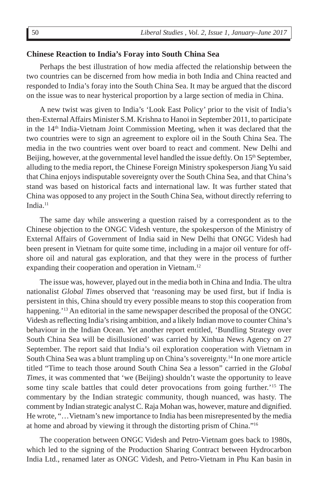### **Chinese Reaction to India's Foray into South China Sea**

Perhaps the best illustration of how media affected the relationship between the two countries can be discerned from how media in both India and China reacted and responded to India's foray into the South China Sea. It may be argued that the discord on the issue was to near hysterical proportion by a large section of media in China.

A new twist was given to India's 'Look East Policy' prior to the visit of India's then-External Affairs Minister S.M. Krishna to Hanoi in September 2011, to participate in the 14th India-Vietnam Joint Commission Meeting, when it was declared that the two countries were to sign an agreement to explore oil in the South China Sea. The media in the two countries went over board to react and comment. New Delhi and Beijing, however, at the governmental level handled the issue deftly. On 15<sup>th</sup> September, alluding to the media report, the Chinese Foreign Ministry spokesperson Jiang Yu said that China enjoys indisputable sovereignty over the South China Sea, and that China's stand was based on historical facts and international law. It was further stated that China was opposed to any project in the South China Sea, without directly referring to India.11

The same day while answering a question raised by a correspondent as to the Chinese objection to the ONGC Videsh venture, the spokesperson of the Ministry of External Affairs of Government of India said in New Delhi that ONGC Videsh had been present in Vietnam for quite some time, including in a major oil venture for offshore oil and natural gas exploration, and that they were in the process of further expanding their cooperation and operation in Vietnam.<sup>12</sup>

The issue was, however, played out in the media both in China and India. The ultra nationalist *Global Times* observed that 'reasoning may be used first, but if India is persistent in this, China should try every possible means to stop this cooperation from happening.<sup>'13</sup> An editorial in the same newspaper described the proposal of the ONGC Videsh as reflecting India's rising ambition, and a likely Indian move to counter China's behaviour in the Indian Ocean. Yet another report entitled, 'Bundling Strategy over South China Sea will be disillusioned' was carried by Xinhua News Agency on 27 September. The report said that India's oil exploration cooperation with Vietnam in South China Sea was a blunt trampling up on China's sovereignty.14 In one more article titled "Time to teach those around South China Sea a lesson" carried in the *Global Times*, it was commented that 'we (Beijing) shouldn't waste the opportunity to leave some tiny scale battles that could deter provocations from going further.'<sup>15</sup> The commentary by the Indian strategic community, though nuanced, was hasty. The comment by Indian strategic analyst C. Raja Mohan was, however, mature and dignified. He wrote, "…Vietnam's new importance to India has been misrepresented by the media at home and abroad by viewing it through the distorting prism of China."16

The cooperation between ONGC Videsh and Petro-Vietnam goes back to 1980s, which led to the signing of the Production Sharing Contract between Hydrocarbon India Ltd., renamed later as ONGC Videsh, and Petro-Vietnam in Phu Kan basin in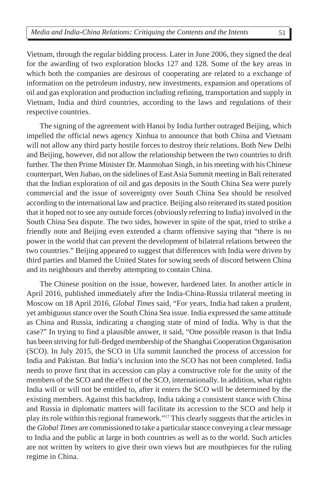Vietnam, through the regular bidding process. Later in June 2006, they signed the deal for the awarding of two exploration blocks 127 and 128. Some of the key areas in which both the companies are desirous of cooperating are related to a exchange of information on the petroleum industry, new investments, expansion and operations of oil and gas exploration and production including refining, transportation and supply in Vietnam, India and third countries, according to the laws and regulations of their respective countries.

The signing of the agreement with Hanoi by India further outraged Beijing, which impelled the official news agency Xinhua to announce that both China and Vietnam will not allow any third party hostile forces to destroy their relations. Both New Delhi and Beijing, however, did not allow the relationship between the two countries to drift further. The then Prime Minister Dr. Manmohan Singh, in his meeting with his Chinese counterpart, Wen Jiabao, on the sidelines of East Asia Summit meeting in Bali reiterated that the Indian exploration of oil and gas deposits in the South China Sea were purely commercial and the issue of sovereignty over South China Sea should be resolved according to the international law and practice. Beijing also reiterated its stated position that it hoped not to see any outside forces (obviously referring to India) involved in the South China Sea dispute. The two sides, however in spite of the spat, tried to strike a friendly note and Beijing even extended a charm offensive saying that "there is no power in the world that can prevent the development of bilateral relations between the two countries." Beijing appeared to suggest that differences with India were driven by third parties and blamed the United States for sowing seeds of discord between China and its neighbours and thereby attempting to contain China.

The Chinese position on the issue, however, hardened later. In another article in April 2016, published immediately after the India-China-Russia trilateral meeting in Moscow on 18 April 2016, *Global Times* said, "For years, India had taken a prudent, yet ambiguous stance over the South China Sea issue. India expressed the same attitude as China and Russia, indicating a changing state of mind of India. Why is that the case?" In trying to find a plausible answer, it said, "One possible reason is that India has been striving for full-fledged membership of the Shanghai Cooperation Organisation (SCO). In July 2015, the SCO in Ufa summit launched the process of accession for India and Pakistan. But India's inclusion into the SCO has not been completed. India needs to prove first that its accession can play a constructive role for the unity of the members of the SCO and the effect of the SCO, internationally. In addition, what rights India will or will not be entitled to, after it enters the SCO will be determined by the existing members. Against this backdrop, India taking a consistent stance with China and Russia in diplomatic matters will facilitate its accession to the SCO and help it play its role within this regional framework."17 This clearly suggests that the articles in the *Global Times* are commissioned to take a particular stance conveying a clear message to India and the public at large in both countries as well as to the world. Such articles are not written by writers to give their own views but are mouthpieces for the ruling regime in China.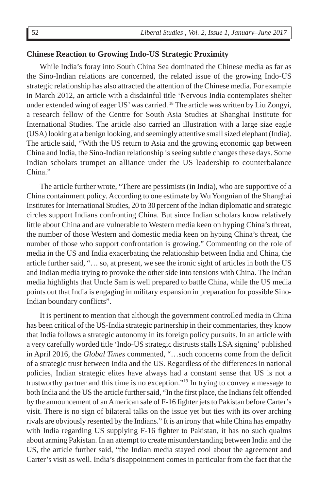### **Chinese Reaction to Growing Indo-US Strategic Proximity**

While India's foray into South China Sea dominated the Chinese media as far as the Sino-Indian relations are concerned, the related issue of the growing Indo-US strategic relationship has also attracted the attention of the Chinese media. For example in March 2012, an article with a disdainful title 'Nervous India contemplates shelter under extended wing of eager US' was carried. 18 The article was written by Liu Zongyi, a research fellow of the Centre for South Asia Studies at Shanghai Institute for International Studies. The article also carried an illustration with a large size eagle (USA) looking at a benign looking, and seemingly attentive small sized elephant (India). The article said, "With the US return to Asia and the growing economic gap between China and India, the Sino-Indian relationship is seeing subtle changes these days. Some Indian scholars trumpet an alliance under the US leadership to counterbalance China."

The article further wrote, "There are pessimists (in India), who are supportive of a China containment policy. According to one estimate by Wu Yongnian of the Shanghai Institutes for International Studies, 20 to 30 percent of the Indian diplomatic and strategic circles support Indians confronting China. But since Indian scholars know relatively little about China and are vulnerable to Western media keen on hyping China's threat, the number of those Western and domestic media keen on hyping China's threat, the number of those who support confrontation is growing." Commenting on the role of media in the US and India exacerbating the relationship between India and China, the article further said, "… so, at present, we see the ironic sight of articles in both the US and Indian media trying to provoke the other side into tensions with China. The Indian media highlights that Uncle Sam is well prepared to battle China, while the US media points out that India is engaging in military expansion in preparation for possible Sino-Indian boundary conflicts".

It is pertinent to mention that although the government controlled media in China has been critical of the US-India strategic partnership in their commentaries, they know that India follows a strategic autonomy in its foreign policy pursuits. In an article with a very carefully worded title 'Indo-US strategic distrusts stalls LSA signing' published in April 2016, the *Global Times* commented, "…such concerns come from the deficit of a strategic trust between India and the US. Regardless of the differences in national policies, Indian strategic elites have always had a constant sense that US is not a trustworthy partner and this time is no exception."19 In trying to convey a message to both India and the US the article further said, "In the first place, the Indians felt offended by the announcement of an American sale of F-16 fighter jets to Pakistan before Carter's visit. There is no sign of bilateral talks on the issue yet but ties with its over arching rivals are obviously resented by the Indians." It is an irony that while China has empathy with India regarding US supplying F-16 fighter to Pakistan, it has no such qualms about arming Pakistan. In an attempt to create misunderstanding between India and the US, the article further said, "the Indian media stayed cool about the agreement and Carter's visit as well. India's disappointment comes in particular from the fact that the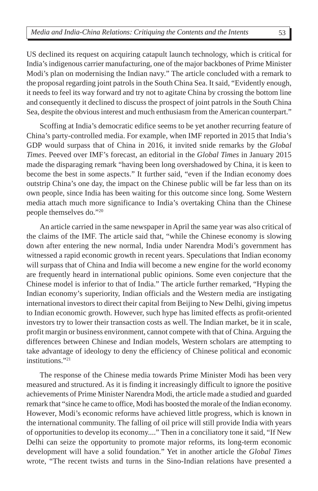US declined its request on acquiring catapult launch technology, which is critical for India's indigenous carrier manufacturing, one of the major backbones of Prime Minister Modi's plan on modernising the Indian navy." The article concluded with a remark to the proposal regarding joint patrols in the South China Sea. It said, "Evidently enough, it needs to feel its way forward and try not to agitate China by crossing the bottom line and consequently it declined to discuss the prospect of joint patrols in the South China Sea, despite the obvious interest and much enthusiasm from the American counterpart."

Scoffing at India's democratic edifice seems to be yet another recurring feature of China's party-controlled media. For example, when IMF reported in 2015 that India's GDP would surpass that of China in 2016, it invited snide remarks by the *Global Times*. Peeved over IMF's forecast, an editorial in the *Global Times* in January 2015 made the disparaging remark "having been long overshadowed by China, it is keen to become the best in some aspects." It further said, "even if the Indian economy does outstrip China's one day, the impact on the Chinese public will be far less than on its own people, since India has been waiting for this outcome since long. Some Western media attach much more significance to India's overtaking China than the Chinese people themselves do."20

An article carried in the same newspaper in April the same year was also critical of the claims of the IMF. The article said that, "while the Chinese economy is slowing down after entering the new normal, India under Narendra Modi's government has witnessed a rapid economic growth in recent years. Speculations that Indian economy will surpass that of China and India will become a new engine for the world economy are frequently heard in international public opinions. Some even conjecture that the Chinese model is inferior to that of India." The article further remarked, "Hyping the Indian economy's superiority, Indian officials and the Western media are instigating international investors to direct their capital from Beijing to New Delhi, giving impetus to Indian economic growth. However, such hype has limited effects as profit-oriented investors try to lower their transaction costs as well. The Indian market, be it in scale, profit margin or business environment, cannot compete with that of China. Arguing the differences between Chinese and Indian models, Western scholars are attempting to take advantage of ideology to deny the efficiency of Chinese political and economic institutions."21

The response of the Chinese media towards Prime Minister Modi has been very measured and structured. As it is finding it increasingly difficult to ignore the positive achievements of Prime Minister Narendra Modi, the article made a studied and guarded remark that "since he came to office, Modi has boosted the morale of the Indian economy. However, Modi's economic reforms have achieved little progress, which is known in the international community. The falling of oil price will still provide India with years of opportunities to develop its economy...." Then in a conciliatory tone it said, "If New Delhi can seize the opportunity to promote major reforms, its long-term economic development will have a solid foundation." Yet in another article the *Global Times* wrote, "The recent twists and turns in the Sino-Indian relations have presented a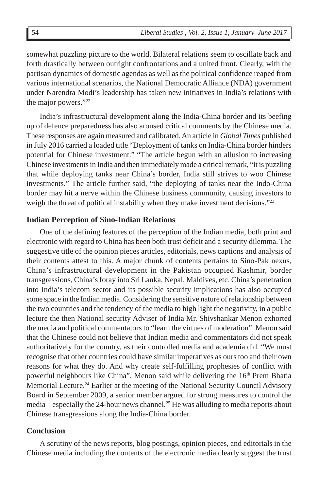somewhat puzzling picture to the world. Bilateral relations seem to oscillate back and forth drastically between outright confrontations and a united front. Clearly, with the partisan dynamics of domestic agendas as well as the political confidence reaped from various international scenarios, the National Democratic Alliance (NDA) government under Narendra Modi's leadership has taken new initiatives in India's relations with the major powers."22

India's infrastructural development along the India-China border and its beefing up of defence preparedness has also aroused critical comments by the Chinese media. These responses are again measured and calibrated. An article in *Global Times* published in July 2016 carried a loaded title "Deployment of tanks on India-China border hinders potential for Chinese investment." "The article begun with an allusion to increasing Chinese investments in India and then immediately made a critical remark, "it is puzzling that while deploying tanks near China's border, India still strives to woo Chinese investments." The article further said, "the deploying of tanks near the Indo-China border may hit a nerve within the Chinese business community, causing investors to weigh the threat of political instability when they make investment decisions."<sup>23</sup>

### **Indian Perception of Sino-Indian Relations**

One of the defining features of the perception of the Indian media, both print and electronic with regard to China has been both trust deficit and a security dilemma. The suggestive title of the opinion pieces articles, editorials, news captions and analysis of their contents attest to this. A major chunk of contents pertains to Sino-Pak nexus, China's infrastructural development in the Pakistan occupied Kashmir, border transgressions, China's foray into Sri Lanka, Nepal, Maldives, etc. China's penetration into India's telecom sector and its possible security implications has also occupied some space in the Indian media. Considering the sensitive nature of relationship between the two countries and the tendency of the media to high light the negativity, in a public lecture the then National security Adviser of India Mr. Shivshankar Menon exhorted the media and political commentators to "learn the virtues of moderation". Menon said that the Chinese could not believe that Indian media and commentators did not speak authoritatively for the country, as their controlled media and academia did. "We must recognise that other countries could have similar imperatives as ours too and their own reasons for what they do. And why create self-fulfilling prophesies of conflict with powerful neighbours like China", Menon said while delivering the 16<sup>th</sup> Prem Bhatia Memorial Lecture.<sup>24</sup> Earlier at the meeting of the National Security Council Advisory Board in September 2009, a senior member argued for strong measures to control the media – especially the 24-hour news channel.<sup>25</sup> He was alluding to media reports about Chinese transgressions along the India-China border.

### **Conclusion**

A scrutiny of the news reports, blog postings, opinion pieces, and editorials in the Chinese media including the contents of the electronic media clearly suggest the trust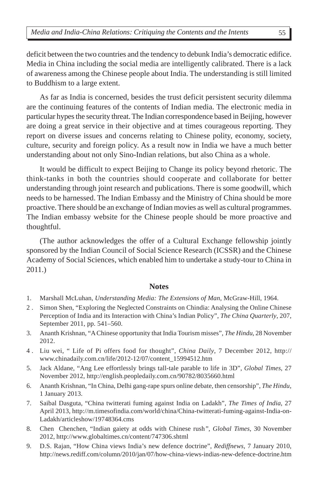deficit between the two countries and the tendency to debunk India's democratic edifice. Media in China including the social media are intelligently calibrated. There is a lack of awareness among the Chinese people about India. The understanding is still limited to Buddhism to a large extent.

As far as India is concerned, besides the trust deficit persistent security dilemma are the continuing features of the contents of Indian media. The electronic media in particular hypes the security threat. The Indian correspondence based in Beijing, however are doing a great service in their objective and at times courageous reporting. They report on diverse issues and concerns relating to Chinese polity, economy, society, culture, security and foreign policy. As a result now in India we have a much better understanding about not only Sino-Indian relations, but also China as a whole.

It would be difficult to expect Beijing to Change its policy beyond rhetoric. The think-tanks in both the countries should cooperate and collaborate for better understanding through joint research and publications. There is some goodwill, which needs to be harnessed. The Indian Embassy and the Ministry of China should be more proactive. There should be an exchange of Indian movies as well as cultural programmes. The Indian embassy website for the Chinese people should be more proactive and thoughtful.

(The author acknowledges the offer of a Cultural Exchange fellowship jointly sponsored by the Indian Council of Social Science Research (ICSSR) and the Chinese Academy of Social Sciences, which enabled him to undertake a study-tour to China in 2011.)

## **Notes**

- 1. Marshall McLuhan, *Understanding Media: The Extensions of Man,* McGraw-Hill, 1964.
- 2 . Simon Shen, "Exploring the Neglected Constraints on Chindia: Analysing the Online Chinese Perception of India and its Interaction with China's Indian Policy", *The China Quarterly*, 207, September 2011, pp. 541–560.
- 3. Ananth Krishnan, "A Chinese opportunity that India Tourism misses", *The Hindu*, 28 November 2012.
- 4 . Liu wei, " Life of Pi offers food for thought", *China Daily*, 7 December 2012, http:// www.chinadaily.com.cn/life/2012-12/07/content\_15994512.htm
- 5. Jack Aldane, "Ang Lee effortlessly brings tall-tale parable to life in 3D", *Global Times*, 27 November 2012, http://english.peopledaily.com.cn/90782/8035660.html
- 6. Ananth Krishnan, "In China, Delhi gang-rape spurs online debate, then censorship", *The Hindu*, 1 January 2013.
- 7. Saibal Dasguta, "China twitterati fuming against India on Ladakh", *The Times of India*, 27 April 2013, http://m.timesofindia.com/world/china/China-twitterati-fuming-against-India-on-Ladakh/articleshow/19748364.cms
- 8. Chen Chenchen, "Indian gaiety at odds with Chinese rush*", Global Times*, 30 November 2012, http://www.globaltimes.cn/content/747306.shtml
- 9. D.S. Rajan, "How China views India's new defence doctrine", *Rediffnews,* 7 January 2010, http://news.rediff.com/column/2010/jan/07/how-china-views-indias-new-defence-doctrine.htm